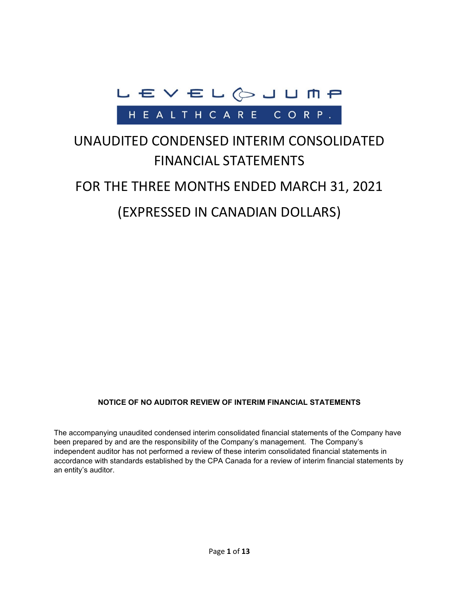

# UNAUDITED CONDENSED INTERIM CONSOLIDATED FINANCIAL STATEMENTS

# FOR THE THREE MONTHS ENDED MARCH 31, 2021

# (EXPRESSED IN CANADIAN DOLLARS)

#### **NOTICE OF NO AUDITOR REVIEW OF INTERIM FINANCIAL STATEMENTS**

The accompanying unaudited condensed interim consolidated financial statements of the Company have been prepared by and are the responsibility of the Company's management. The Company's independent auditor has not performed a review of these interim consolidated financial statements in accordance with standards established by the CPA Canada for a review of interim financial statements by an entity's auditor.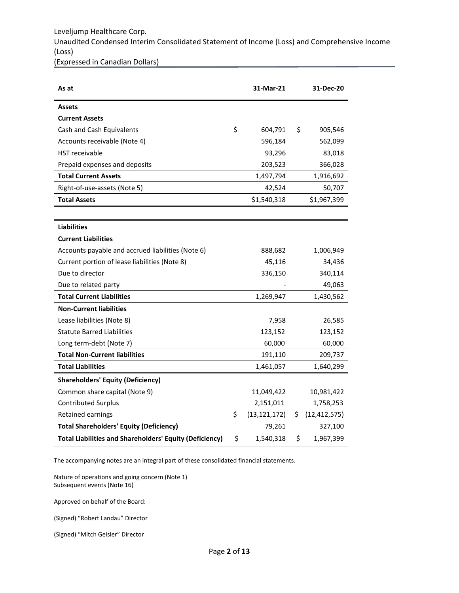Leveljump Healthcare Corp. Unaudited Condensed Interim Consolidated Statement of Income (Loss) and Comprehensive Income (Loss)

(Expressed in Canadian Dollars)

| As at                                                          | 31-Mar-21            |    | 31-Dec-20      |
|----------------------------------------------------------------|----------------------|----|----------------|
| <b>Assets</b>                                                  |                      |    |                |
| <b>Current Assets</b>                                          |                      |    |                |
| Cash and Cash Equivalents                                      | \$<br>604,791        | \$ | 905,546        |
| Accounts receivable (Note 4)                                   | 596,184              |    | 562,099        |
| <b>HST</b> receivable                                          | 93,296               |    | 83,018         |
| Prepaid expenses and deposits                                  | 203,523              |    | 366,028        |
| <b>Total Current Assets</b>                                    | 1,497,794            |    | 1,916,692      |
| Right-of-use-assets (Note 5)                                   | 42,524               |    | 50,707         |
| <b>Total Assets</b>                                            | \$1,540,318          |    | \$1,967,399    |
|                                                                |                      |    |                |
| <b>Liabilities</b>                                             |                      |    |                |
| <b>Current Liabilities</b>                                     |                      |    |                |
| Accounts payable and accrued liabilities (Note 6)              | 888,682              |    | 1,006,949      |
| Current portion of lease liabilities (Note 8)                  | 45,116               |    | 34,436         |
| Due to director                                                | 336,150              |    | 340,114        |
| Due to related party                                           |                      |    | 49,063         |
| <b>Total Current Liabilities</b>                               | 1,269,947            |    | 1,430,562      |
| <b>Non-Current liabilities</b>                                 |                      |    |                |
| Lease liabilities (Note 8)                                     | 7,958                |    | 26,585         |
| <b>Statute Barred Liabilities</b>                              | 123,152              |    | 123,152        |
| Long term-debt (Note 7)                                        | 60,000               |    | 60,000         |
| <b>Total Non-Current liabilities</b>                           | 191,110              |    | 209,737        |
| <b>Total Liabilities</b>                                       | 1,461,057            |    | 1,640,299      |
| <b>Shareholders' Equity (Deficiency)</b>                       |                      |    |                |
| Common share capital (Note 9)                                  | 11,049,422           |    | 10,981,422     |
| <b>Contributed Surplus</b>                                     | 2,151,011            |    | 1,758,253      |
| Retained earnings                                              | \$<br>(13, 121, 172) | Ş. | (12, 412, 575) |
| <b>Total Shareholders' Equity (Deficiency)</b>                 | 79,261               |    | 327,100        |
| <b>Total Liabilities and Shareholders' Equity (Deficiency)</b> | \$<br>1,540,318      | \$ | 1,967,399      |

The accompanying notes are an integral part of these consolidated financial statements.

Nature of operations and going concern (Note 1) Subsequent events (Note 16)

Approved on behalf of the Board:

(Signed) "Robert Landau" Director

(Signed) "Mitch Geisler" Director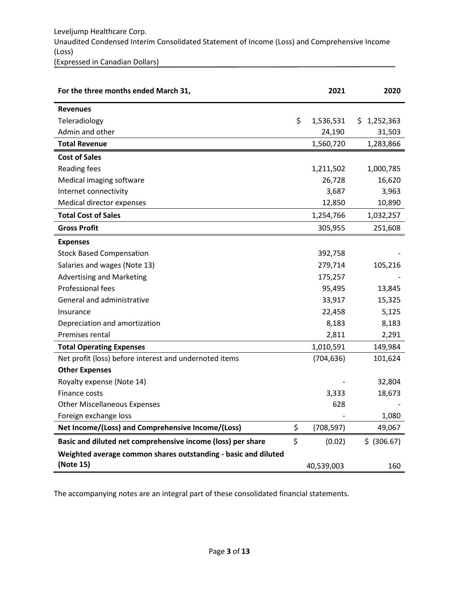| For the three months ended March 31,                           | 2021             | 2020        |
|----------------------------------------------------------------|------------------|-------------|
| <b>Revenues</b>                                                |                  |             |
| Teleradiology                                                  | \$<br>1,536,531  | \$1,252,363 |
| Admin and other                                                | 24,190           | 31,503      |
| <b>Total Revenue</b>                                           | 1,560,720        | 1,283,866   |
| <b>Cost of Sales</b>                                           |                  |             |
| Reading fees                                                   | 1,211,502        | 1,000,785   |
| Medical imaging software                                       | 26,728           | 16,620      |
| Internet connectivity                                          | 3,687            | 3,963       |
| Medical director expenses                                      | 12,850           | 10,890      |
| <b>Total Cost of Sales</b>                                     | 1,254,766        | 1,032,257   |
| <b>Gross Profit</b>                                            | 305,955          | 251,608     |
| <b>Expenses</b>                                                |                  |             |
| <b>Stock Based Compensation</b>                                | 392,758          |             |
| Salaries and wages (Note 13)                                   | 279,714          | 105,216     |
| <b>Advertising and Marketing</b>                               | 175,257          |             |
| <b>Professional fees</b>                                       | 95,495           | 13,845      |
| General and administrative                                     | 33,917           | 15,325      |
| Insurance                                                      | 22,458           | 5,125       |
| Depreciation and amortization                                  | 8,183            | 8,183       |
| Premises rental                                                | 2,811            | 2,291       |
| <b>Total Operating Expenses</b>                                | 1,010,591        | 149,984     |
| Net profit (loss) before interest and undernoted items         | (704, 636)       | 101,624     |
| <b>Other Expenses</b>                                          |                  |             |
| Royalty expense (Note 14)                                      |                  | 32,804      |
| Finance costs                                                  | 3,333            | 18,673      |
| <b>Other Miscellaneous Expenses</b>                            | 628              |             |
| Foreign exchange loss                                          |                  | 1,080       |
| Net Income/(Loss) and Comprehensive Income/(Loss)              | \$<br>(708, 597) | 49,067      |
| Basic and diluted net comprehensive income (loss) per share    | \$<br>(0.02)     | \$ (306.67) |
| Weighted average common shares outstanding - basic and diluted |                  |             |
| (Note 15)                                                      | 40,539,003       | 160         |

The accompanying notes are an integral part of these consolidated financial statements.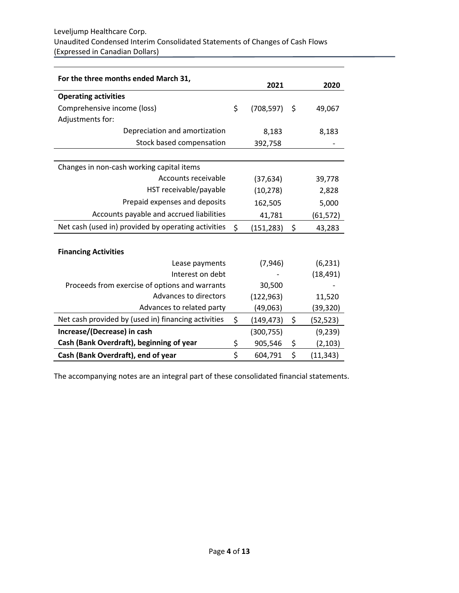| For the three months ended March 31,                | 2021             |     | 2020      |
|-----------------------------------------------------|------------------|-----|-----------|
| <b>Operating activities</b>                         |                  |     |           |
| Comprehensive income (loss)                         | \$<br>(708, 597) | -\$ | 49,067    |
| Adjustments for:                                    |                  |     |           |
| Depreciation and amortization                       | 8,183            |     | 8,183     |
| Stock based compensation                            | 392,758          |     |           |
|                                                     |                  |     |           |
| Changes in non-cash working capital items           |                  |     |           |
| Accounts receivable                                 | (37, 634)        |     | 39,778    |
| HST receivable/payable                              | (10, 278)        |     | 2,828     |
| Prepaid expenses and deposits                       | 162,505          |     | 5,000     |
| Accounts payable and accrued liabilities            | 41,781           |     | (61, 572) |
| Net cash (used in) provided by operating activities | \$<br>(151, 283) | \$  | 43,283    |
|                                                     |                  |     |           |
| <b>Financing Activities</b>                         |                  |     |           |
| Lease payments                                      | (7, 946)         |     | (6, 231)  |
| Interest on debt                                    |                  |     | (18, 491) |
| Proceeds from exercise of options and warrants      | 30,500           |     |           |
| Advances to directors                               | (122, 963)       |     | 11,520    |
| Advances to related party                           | (49,063)         |     | (39, 320) |
| Net cash provided by (used in) financing activities | \$<br>(149,473)  | \$  | (52,523)  |
| Increase/(Decrease) in cash                         | (300, 755)       |     | (9, 239)  |
| Cash (Bank Overdraft), beginning of year            | \$<br>905,546    | \$  | (2, 103)  |
| Cash (Bank Overdraft), end of year                  | \$<br>604,791    | \$  | (11, 343) |

The accompanying notes are an integral part of these consolidated financial statements.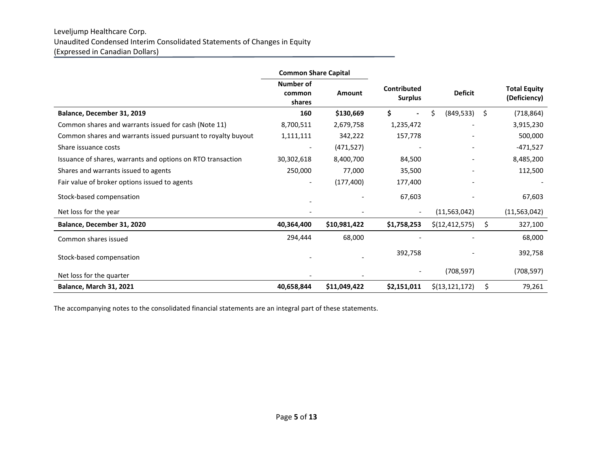#### Leveljump Healthcare Corp. Unaudited Condensed Interim Consolidated Statements of Changes in Equity (Expressed in Canadian Dollars)

|                                                              | <b>Common Share Capital</b>          |               |                               |                  |    |                                     |
|--------------------------------------------------------------|--------------------------------------|---------------|-------------------------------|------------------|----|-------------------------------------|
|                                                              | <b>Number of</b><br>common<br>shares | <b>Amount</b> | Contributed<br><b>Surplus</b> | <b>Deficit</b>   |    | <b>Total Equity</b><br>(Deficiency) |
| Balance, December 31, 2019                                   | 160                                  | \$130,669     | \$                            | Ś.<br>(849, 533) | Ŝ. | (718, 864)                          |
| Common shares and warrants issued for cash (Note 11)         | 8,700,511                            | 2,679,758     | 1,235,472                     |                  |    | 3,915,230                           |
| Common shares and warrants issued pursuant to royalty buyout | 1,111,111                            | 342,222       | 157,778                       |                  |    | 500,000                             |
| Share issuance costs                                         |                                      | (471, 527)    |                               |                  |    | $-471,527$                          |
| Issuance of shares, warrants and options on RTO transaction  | 30,302,618                           | 8,400,700     | 84,500                        |                  |    | 8,485,200                           |
| Shares and warrants issued to agents                         | 250,000                              | 77,000        | 35,500                        |                  |    | 112,500                             |
| Fair value of broker options issued to agents                |                                      | (177, 400)    | 177,400                       |                  |    |                                     |
| Stock-based compensation                                     |                                      |               | 67,603                        |                  |    | 67,603                              |
| Net loss for the year                                        |                                      |               |                               | (11, 563, 042)   |    | (11, 563, 042)                      |
| Balance, December 31, 2020                                   | 40,364,400                           | \$10,981,422  | \$1,758,253                   | \$(12, 412, 575) | \$ | 327,100                             |
| Common shares issued                                         | 294,444                              | 68,000        |                               |                  |    | 68,000                              |
| Stock-based compensation                                     |                                      |               | 392,758                       |                  |    | 392,758                             |
| Net loss for the quarter                                     |                                      |               |                               | (708, 597)       |    | (708, 597)                          |
| Balance, March 31, 2021                                      | 40,658,844                           | \$11,049,422  | \$2,151,011                   | \$(13, 121, 172) | \$ | 79,261                              |

The accompanying notes to the consolidated financial statements are an integral part of these statements.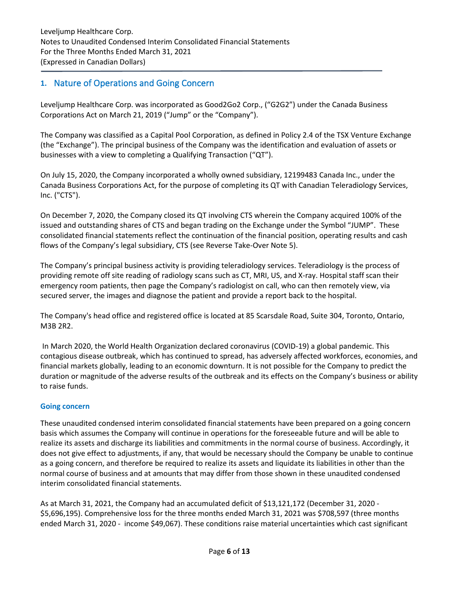## **1.** Nature of Operations and Going Concern

Leveljump Healthcare Corp. was incorporated as Good2Go2 Corp., ("G2G2") under the Canada Business Corporations Act on March 21, 2019 ("Jump" or the "Company").

The Company was classified as a Capital Pool Corporation, as defined in Policy 2.4 of the TSX Venture Exchange (the "Exchange"). The principal business of the Company was the identification and evaluation of assets or businesses with a view to completing a Qualifying Transaction ("QT").

On July 15, 2020, the Company incorporated a wholly owned subsidiary, 12199483 Canada Inc., under the Canada Business Corporations Act, for the purpose of completing its QT with Canadian Teleradiology Services, Inc. ("CTS").

On December 7, 2020, the Company closed its QT involving CTS wherein the Company acquired 100% of the issued and outstanding shares of CTS and began trading on the Exchange under the Symbol "JUMP". These consolidated financial statements reflect the continuation of the financial position, operating results and cash flows of the Company's legal subsidiary, CTS (see Reverse Take-Over Note 5).

The Company's principal business activity is providing teleradiology services. Teleradiology is the process of providing remote off site reading of radiology scans such as CT, MRI, US, and X-ray. Hospital staff scan their emergency room patients, then page the Company's radiologist on call, who can then remotely view, via secured server, the images and diagnose the patient and provide a report back to the hospital.

The Company's head office and registered office is located at 85 Scarsdale Road, Suite 304, Toronto, Ontario, M3B 2R2.

In March 2020, the World Health Organization declared coronavirus (COVID-19) a global pandemic. This contagious disease outbreak, which has continued to spread, has adversely affected workforces, economies, and financial markets globally, leading to an economic downturn. It is not possible for the Company to predict the duration or magnitude of the adverse results of the outbreak and its effects on the Company's business or ability to raise funds.

#### **Going concern**

These unaudited condensed interim consolidated financial statements have been prepared on a going concern basis which assumes the Company will continue in operations for the foreseeable future and will be able to realize its assets and discharge its liabilities and commitments in the normal course of business. Accordingly, it does not give effect to adjustments, if any, that would be necessary should the Company be unable to continue as a going concern, and therefore be required to realize its assets and liquidate its liabilities in other than the normal course of business and at amounts that may differ from those shown in these unaudited condensed interim consolidated financial statements.

As at March 31, 2021, the Company had an accumulated deficit of \$13,121,172 (December 31, 2020 - \$5,696,195). Comprehensive loss for the three months ended March 31, 2021 was \$708,597 (three months ended March 31, 2020 - income \$49,067). These conditions raise material uncertainties which cast significant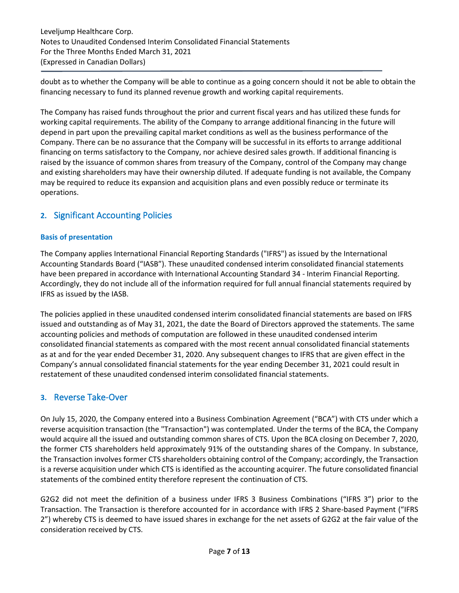Leveljump Healthcare Corp. Notes to Unaudited Condensed Interim Consolidated Financial Statements For the Three Months Ended March 31, 2021 (Expressed in Canadian Dollars)

doubt as to whether the Company will be able to continue as a going concern should it not be able to obtain the financing necessary to fund its planned revenue growth and working capital requirements.

The Company has raised funds throughout the prior and current fiscal years and has utilized these funds for working capital requirements. The ability of the Company to arrange additional financing in the future will depend in part upon the prevailing capital market conditions as well as the business performance of the Company. There can be no assurance that the Company will be successful in its efforts to arrange additional financing on terms satisfactory to the Company, nor achieve desired sales growth. If additional financing is raised by the issuance of common shares from treasury of the Company, control of the Company may change and existing shareholders may have their ownership diluted. If adequate funding is not available, the Company may be required to reduce its expansion and acquisition plans and even possibly reduce or terminate its operations.

# **2.** Significant Accounting Policies

#### **Basis of presentation**

The Company applies International Financial Reporting Standards ("IFRS") as issued by the International Accounting Standards Board ("IASB"). These unaudited condensed interim consolidated financial statements have been prepared in accordance with International Accounting Standard 34 - Interim Financial Reporting. Accordingly, they do not include all of the information required for full annual financial statements required by IFRS as issued by the IASB.

The policies applied in these unaudited condensed interim consolidated financial statements are based on IFRS issued and outstanding as of May 31, 2021, the date the Board of Directors approved the statements. The same accounting policies and methods of computation are followed in these unaudited condensed interim consolidated financial statements as compared with the most recent annual consolidated financial statements as at and for the year ended December 31, 2020. Any subsequent changes to IFRS that are given effect in the Company's annual consolidated financial statements for the year ending December 31, 2021 could result in restatement of these unaudited condensed interim consolidated financial statements.

## **3.** Reverse Take-Over

On July 15, 2020, the Company entered into a Business Combination Agreement ("BCA") with CTS under which a reverse acquisition transaction (the "Transaction") was contemplated. Under the terms of the BCA, the Company would acquire all the issued and outstanding common shares of CTS. Upon the BCA closing on December 7, 2020, the former CTS shareholders held approximately 91% of the outstanding shares of the Company. In substance, the Transaction involves former CTS shareholders obtaining control of the Company; accordingly, the Transaction is a reverse acquisition under which CTS is identified as the accounting acquirer. The future consolidated financial statements of the combined entity therefore represent the continuation of CTS.

G2G2 did not meet the definition of a business under IFRS 3 Business Combinations ("IFRS 3") prior to the Transaction. The Transaction is therefore accounted for in accordance with IFRS 2 Share-based Payment ("IFRS 2") whereby CTS is deemed to have issued shares in exchange for the net assets of G2G2 at the fair value of the consideration received by CTS.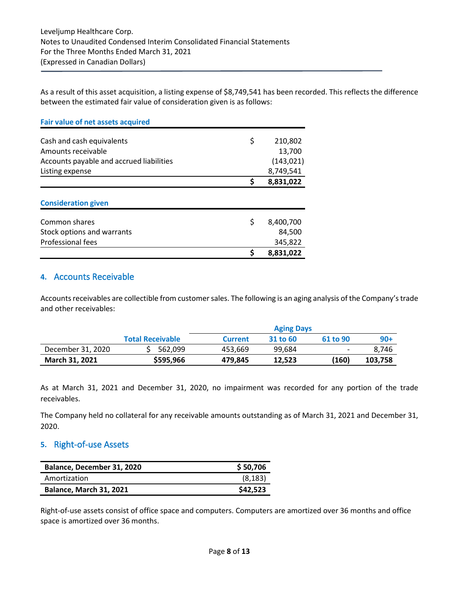As a result of this asset acquisition, a listing expense of \$8,749,541 has been recorded. This reflects the difference between the estimated fair value of consideration given is as follows:

| <b>Fair value of net assets acquired</b> |    |            |
|------------------------------------------|----|------------|
| Cash and cash equivalents                | \$ | 210,802    |
| Amounts receivable                       |    | 13,700     |
| Accounts payable and accrued liabilities |    | (143, 021) |
| Listing expense                          |    | 8,749,541  |
|                                          | Ś  | 8,831,022  |
| <b>Consideration given</b>               |    |            |
| Common shares                            | \$ | 8,400,700  |
| Stock options and warrants               |    | 84,500     |
| Professional fees                        |    | 345,822    |
|                                          | \$ | 8,831,022  |

### **4.** Accounts Receivable

Accounts receivables are collectible from customer sales. The following is an aging analysis of the Company's trade and other receivables:

|                       |                         |                | <b>Aging Days</b> |                          |         |
|-----------------------|-------------------------|----------------|-------------------|--------------------------|---------|
|                       | <b>Total Receivable</b> | <b>Current</b> | 31 to 60          | 61 to 90                 | $90+$   |
| December 31, 2020     | 562.099                 | 453,669        | 99.684            | $\overline{\phantom{0}}$ | 8.746   |
| <b>March 31, 2021</b> | \$595,966               | 479,845        | 12.523            | (160)                    | 103,758 |

As at March 31, 2021 and December 31, 2020, no impairment was recorded for any portion of the trade receivables.

The Company held no collateral for any receivable amounts outstanding as of March 31, 2021 and December 31, 2020.

## **5.** Right-of-use Assets

| Balance, December 31, 2020     | \$50,706 |
|--------------------------------|----------|
| Amortization                   | (8, 183) |
| <b>Balance, March 31, 2021</b> | \$42,523 |

Right-of-use assets consist of office space and computers. Computers are amortized over 36 months and office space is amortized over 36 months.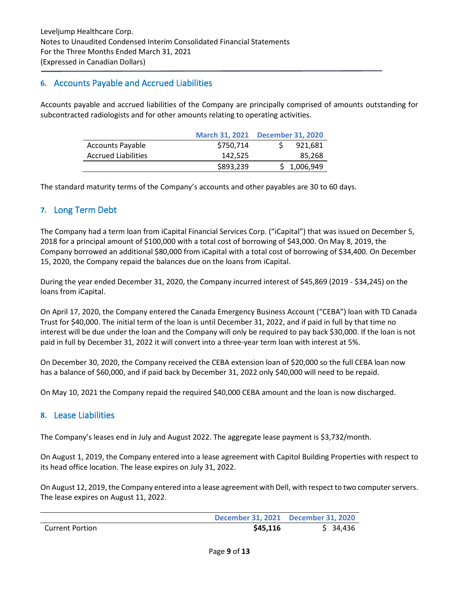## **6.** Accounts Payable and Accrued Liabilities

Accounts payable and accrued liabilities of the Company are principally comprised of amounts outstanding for subcontracted radiologists and for other amounts relating to operating activities.

|                            |           | March 31, 2021 December 31, 2020 |
|----------------------------|-----------|----------------------------------|
| <b>Accounts Payable</b>    | \$750,714 | 921,681                          |
| <b>Accrued Liabilities</b> | 142.525   | 85,268                           |
|                            | \$893,239 | \$1,006,949                      |

The standard maturity terms of the Company's accounts and other payables are 30 to 60 days.

## **7.** Long Term Debt

The Company had a term loan from iCapital Financial Services Corp. ("iCapital") that was issued on December 5, 2018 for a principal amount of \$100,000 with a total cost of borrowing of \$43,000. On May 8, 2019, the Company borrowed an additional \$80,000 from iCapital with a total cost of borrowing of \$34,400. On December 15, 2020, the Company repaid the balances due on the loans from iCapital.

During the year ended December 31, 2020, the Company incurred interest of \$45,869 (2019 - \$34,245) on the loans from iCapital.

On April 17, 2020, the Company entered the Canada Emergency Business Account ("CEBA") loan with TD Canada Trust for \$40,000. The initial term of the loan is until December 31, 2022, and if paid in full by that time no interest will be due under the loan and the Company will only be required to pay back \$30,000. If the loan is not paid in full by December 31, 2022 it will convert into a three-year term loan with interest at 5%.

On December 30, 2020, the Company received the CEBA extension loan of \$20,000 so the full CEBA loan now has a balance of \$60,000, and if paid back by December 31, 2022 only \$40,000 will need to be repaid.

On May 10, 2021 the Company repaid the required \$40,000 CEBA amount and the loan is now discharged.

#### **8.** Lease Liabilities

The Company's leases end in July and August 2022. The aggregate lease payment is \$3,732/month.

On August 1, 2019, the Company entered into a lease agreement with Capitol Building Properties with respect to its head office location. The lease expires on July 31, 2022.

On August 12, 2019, the Company entered into a lease agreement with Dell, with respect to two computer servers. The lease expires on August 11, 2022.

|                        |          | December 31, 2021 December 31, 2020 |
|------------------------|----------|-------------------------------------|
| <b>Current Portion</b> | \$45,116 | \$34,436                            |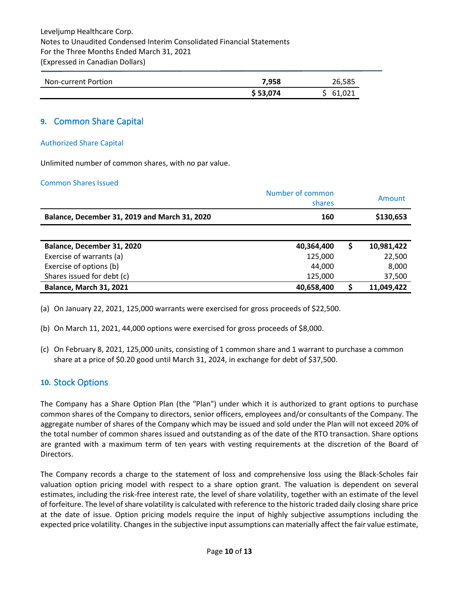Leveljump Healthcare Corp. Notes to Unaudited Condensed Interim Consolidated Financial Statements For the Three Months Ended March 31, 2021 (Expressed in Canadian Dollars)

| Non-current Portion | 7.958    | 26,585   |
|---------------------|----------|----------|
|                     | \$53,074 | \$61,021 |

### **9.** Common Share Capital

#### Authorized Share Capital

Unlimited number of common shares, with no par value.

#### Common Shares Issued

|                                               | Number of common<br>shares |   | Amount     |
|-----------------------------------------------|----------------------------|---|------------|
| Balance, December 31, 2019 and March 31, 2020 | 160                        |   | \$130,653  |
|                                               |                            |   |            |
| Balance, December 31, 2020                    | 40,364,400                 | S | 10,981,422 |
| Exercise of warrants (a)                      | 125,000                    |   | 22,500     |
| Exercise of options (b)                       | 44,000                     |   | 8,000      |
| Shares issued for debt (c)                    | 125,000                    |   | 37,500     |
| <b>Balance, March 31, 2021</b>                | 40,658,400                 |   | 11,049,422 |

(a) On January 22, 2021, 125,000 warrants were exercised for gross proceeds of \$22,500.

- (b) On March 11, 2021, 44,000 options were exercised for gross proceeds of \$8,000.
- (c) On February 8, 2021, 125,000 units, consisting of 1 common share and 1 warrant to purchase a common share at a price of \$0.20 good until March 31, 2024, in exchange for debt of \$37,500.

#### **10.** Stock Options

The Company has a Share Option Plan (the "Plan") under which it is authorized to grant options to purchase common shares of the Company to directors, senior officers, employees and/or consultants of the Company. The aggregate number of shares of the Company which may be issued and sold under the Plan will not exceed 20% of the total number of common shares issued and outstanding as of the date of the RTO transaction. Share options are granted with a maximum term of ten years with vesting requirements at the discretion of the Board of Directors.

The Company records a charge to the statement of loss and comprehensive loss using the Black-Scholes fair valuation option pricing model with respect to a share option grant. The valuation is dependent on several estimates, including the risk-free interest rate, the level of share volatility, together with an estimate of the level of forfeiture. The level of share volatility is calculated with reference to the historic traded daily closing share price at the date of issue. Option pricing models require the input of highly subjective assumptions including the expected price volatility. Changes in the subjective input assumptions can materially affect the fair value estimate,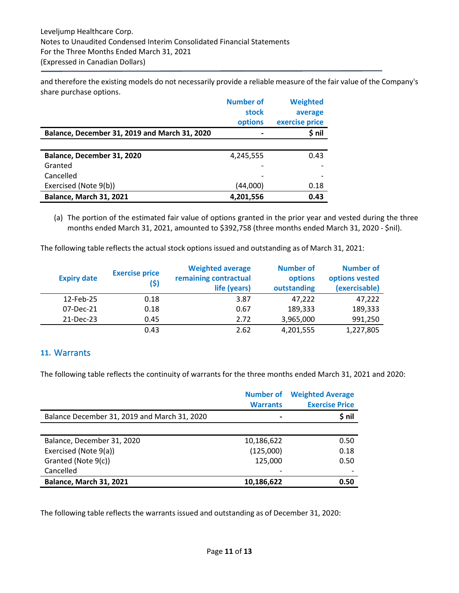and therefore the existing models do not necessarily provide a reliable measure of the fair value of the Company's share purchase options.

|                                               | <b>Number of</b> | <b>Weighted</b> |
|-----------------------------------------------|------------------|-----------------|
|                                               | stock            | average         |
|                                               | options          | exercise price  |
| Balance, December 31, 2019 and March 31, 2020 |                  | \$ nil          |
|                                               |                  |                 |
| Balance, December 31, 2020                    | 4,245,555        | 0.43            |
| Granted                                       |                  |                 |
| Cancelled                                     |                  |                 |
| Exercised (Note 9(b))                         | (44,000)         | 0.18            |
| <b>Balance, March 31, 2021</b>                | 4,201,556        | 0.43            |

(a) The portion of the estimated fair value of options granted in the prior year and vested during the three months ended March 31, 2021, amounted to \$392,758 (three months ended March 31, 2020 - \$nil).

The following table reflects the actual stock options issued and outstanding as of March 31, 2021:

| <b>Expiry date</b> | <b>Exercise price</b><br>(\$) | <b>Weighted average</b><br>remaining contractual<br>life (years) | <b>Number of</b><br>options<br>outstanding | <b>Number of</b><br>options vested<br>(exercisable) |
|--------------------|-------------------------------|------------------------------------------------------------------|--------------------------------------------|-----------------------------------------------------|
| 12-Feb-25          | 0.18                          | 3.87                                                             | 47.222                                     | 47,222                                              |
| 07-Dec-21          | 0.18                          | 0.67                                                             | 189,333                                    | 189,333                                             |
| 21-Dec-23          | 0.45                          | 2.72                                                             | 3,965,000                                  | 991,250                                             |
|                    | 0.43                          | 2.62                                                             | 4,201,555                                  | 1,227,805                                           |

#### **11.** Warrants

The following table reflects the continuity of warrants for the three months ended March 31, 2021 and 2020:

| <b>Number of</b><br><b>Warrants</b> | <b>Weighted Average</b><br><b>Exercise Price</b> |
|-------------------------------------|--------------------------------------------------|
| $\overline{\phantom{0}}$            | \$ nil                                           |
|                                     |                                                  |
| 10,186,622                          | 0.50                                             |
| (125,000)                           | 0.18                                             |
| 125,000                             | 0.50                                             |
|                                     |                                                  |
| 10,186,622                          | 0.50                                             |
|                                     |                                                  |

The following table reflects the warrants issued and outstanding as of December 31, 2020: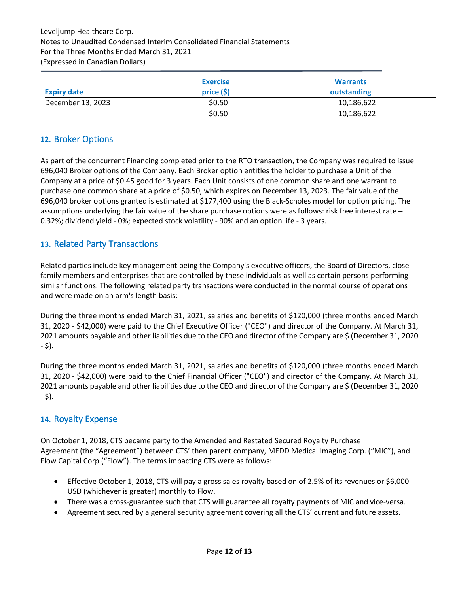|                    | <b>Exercise</b> | <b>Warrants</b> |
|--------------------|-----------------|-----------------|
| <b>Expiry date</b> | price(5)        | outstanding     |
| December 13, 2023  | \$0.50          | 10,186,622      |
|                    | \$0.50          | 10,186,622      |

## **12.** Broker Options

As part of the concurrent Financing completed prior to the RTO transaction, the Company was required to issue 696,040 Broker options of the Company. Each Broker option entitles the holder to purchase a Unit of the Company at a price of \$0.45 good for 3 years. Each Unit consists of one common share and one warrant to purchase one common share at a price of \$0.50, which expires on December 13, 2023. The fair value of the 696,040 broker options granted is estimated at \$177,400 using the Black-Scholes model for option pricing. The assumptions underlying the fair value of the share purchase options were as follows: risk free interest rate – 0.32%; dividend yield - 0%; expected stock volatility - 90% and an option life - 3 years.

# **13.** Related Party Transactions

Related parties include key management being the Company's executive officers, the Board of Directors, close family members and enterprises that are controlled by these individuals as well as certain persons performing similar functions. The following related party transactions were conducted in the normal course of operations and were made on an arm's length basis:

During the three months ended March 31, 2021, salaries and benefits of \$120,000 (three months ended March 31, 2020 - \$42,000) were paid to the Chief Executive Officer ("CEO") and director of the Company. At March 31, 2021 amounts payable and other liabilities due to the CEO and director of the Company are \$ (December 31, 2020 - \$).

During the three months ended March 31, 2021, salaries and benefits of \$120,000 (three months ended March 31, 2020 - \$42,000) were paid to the Chief Financial Officer ("CEO") and director of the Company. At March 31, 2021 amounts payable and other liabilities due to the CEO and director of the Company are \$ (December 31, 2020 - \$).

## **14.** Royalty Expense

On October 1, 2018, CTS became party to the Amended and Restated Secured Royalty Purchase Agreement (the "Agreement") between CTS' then parent company, MEDD Medical Imaging Corp. ("MIC"), and Flow Capital Corp ("Flow"). The terms impacting CTS were as follows:

- Effective October 1, 2018, CTS will pay a gross sales royalty based on of 2.5% of its revenues or \$6,000 USD (whichever is greater) monthly to Flow.
- There was a cross-guarantee such that CTS will guarantee all royalty payments of MIC and vice-versa.
- Agreement secured by a general security agreement covering all the CTS' current and future assets.